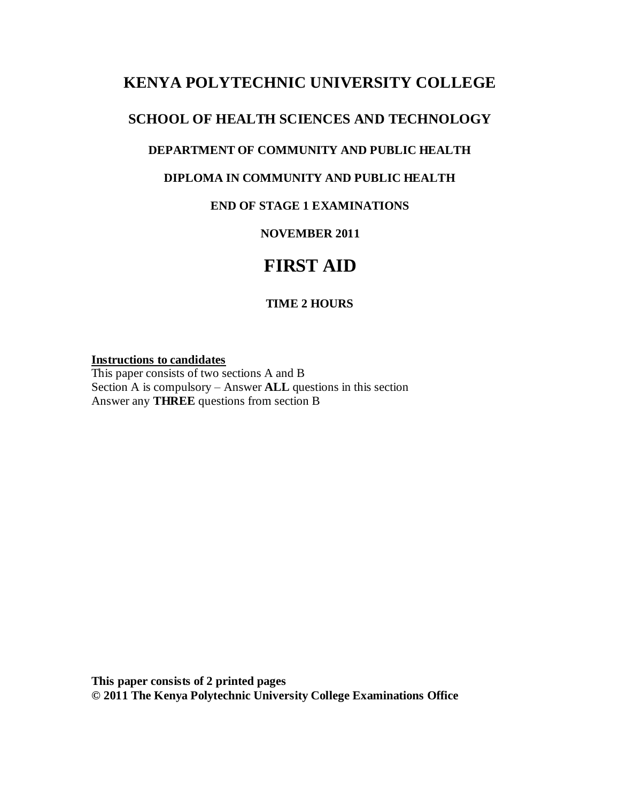# **KENYA POLYTECHNIC UNIVERSITY COLLEGE**

## **SCHOOL OF HEALTH SCIENCES AND TECHNOLOGY**

### **DEPARTMENT OF COMMUNITY AND PUBLIC HEALTH**

### **DIPLOMA IN COMMUNITY AND PUBLIC HEALTH**

### **END OF STAGE 1 EXAMINATIONS**

### **NOVEMBER 2011**

# **FIRST AID**

### **TIME 2 HOURS**

#### **Instructions to candidates**

This paper consists of two sections A and B Section A is compulsory – Answer **ALL** questions in this section Answer any **THREE** questions from section B

**This paper consists of 2 printed pages © 2011 The Kenya Polytechnic University College Examinations Office**